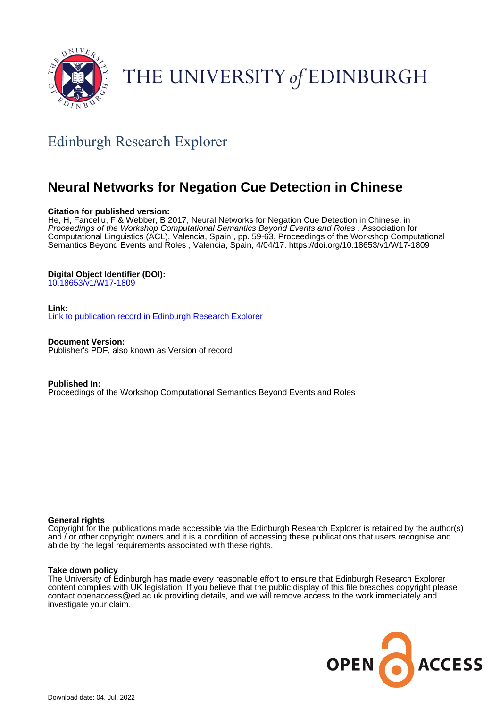

# THE UNIVERSITY of EDINBURGH

# Edinburgh Research Explorer

# **Neural Networks for Negation Cue Detection in Chinese**

# **Citation for published version:**

He, H, Fancellu, F & Webber, B 2017, Neural Networks for Negation Cue Detection in Chinese. in Proceedings of the Workshop Computational Semantics Beyond Events and Roles . Association for Computational Linguistics (ACL), Valencia, Spain , pp. 59-63, Proceedings of the Workshop Computational Semantics Beyond Events and Roles , Valencia, Spain, 4/04/17. <https://doi.org/10.18653/v1/W17-1809>

# **Digital Object Identifier (DOI):**

[10.18653/v1/W17-1809](https://doi.org/10.18653/v1/W17-1809)

#### **Link:**

[Link to publication record in Edinburgh Research Explorer](https://www.research.ed.ac.uk/en/publications/8bb6ea16-7c2b-4f73-88e3-8739c926e270)

**Document Version:** Publisher's PDF, also known as Version of record

**Published In:** Proceedings of the Workshop Computational Semantics Beyond Events and Roles

#### **General rights**

Copyright for the publications made accessible via the Edinburgh Research Explorer is retained by the author(s) and / or other copyright owners and it is a condition of accessing these publications that users recognise and abide by the legal requirements associated with these rights.

#### **Take down policy**

The University of Edinburgh has made every reasonable effort to ensure that Edinburgh Research Explorer content complies with UK legislation. If you believe that the public display of this file breaches copyright please contact openaccess@ed.ac.uk providing details, and we will remove access to the work immediately and investigate your claim.

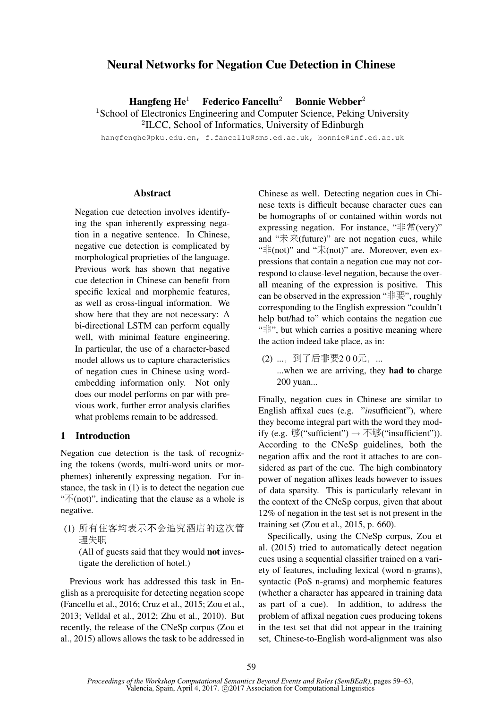# Neural Networks for Negation Cue Detection in Chinese

Hangfeng  $He<sup>1</sup>$  Federico Fancellu<sup>2</sup> Bonnie Webber<sup>2</sup>

<sup>1</sup>School of Electronics Engineering and Computer Science, Peking University

2 ILCC, School of Informatics, University of Edinburgh

hangfenghe@pku.edu.cn, f.fancellu@sms.ed.ac.uk, bonnie@inf.ed.ac.uk

## Abstract

Negation cue detection involves identifying the span inherently expressing negation in a negative sentence. In Chinese, negative cue detection is complicated by morphological proprieties of the language. Previous work has shown that negative cue detection in Chinese can benefit from specific lexical and morphemic features, as well as cross-lingual information. We show here that they are not necessary: A bi-directional LSTM can perform equally well, with minimal feature engineering. In particular, the use of a character-based model allows us to capture characteristics of negation cues in Chinese using wordembedding information only. Not only does our model performs on par with previous work, further error analysis clarifies what problems remain to be addressed.

#### 1 Introduction

Negation cue detection is the task of recognizing the tokens (words, multi-word units or morphemes) inherently expressing negation. For instance, the task in (1) is to detect the negation cue " $\mathcal{F}(\text{not})$ ", indicating that the clause as a whole is negative.

(1) 所有住客均表示不会追究酒店的这次管 <sup>理</sup>失<sup>职</sup>

(All of guests said that they would not investigate the dereliction of hotel.)

Previous work has addressed this task in English as a prerequisite for detecting negation scope (Fancellu et al., 2016; Cruz et al., 2015; Zou et al., 2013; Velldal et al., 2012; Zhu et al., 2010). But recently, the release of the CNeSp corpus (Zou et al., 2015) allows allows the task to be addressed in Chinese as well. Detecting negation cues in Chinese texts is difficult because character cues can be homographs of or contained within words not expressing negation. For instance, "非常(very)" and " $\ddot{\pi}$   $\ddot{\pi}$ (future)" are not negation cues, while " $\#$ (not)" and " $\#$ (not)" are. Moreover, even expressions that contain a negation cue may not correspond to clause-level negation, because the overall meaning of the expression is positive. This can be observed in the expression " $\ddagger \nexists$ ", roughly corresponding to the English expression "couldn't help but/had to" which contains the negation cue "非", but which carries a positive meaning where the action indeed take place, as in:

(2) ..., 到了后非要200元, ... ...when we are arriving, they **had to** charge 200 yuan...

Finally, negation cues in Chinese are similar to English affixal cues (e.g. "*in*sufficient"), where they become integral part with the word they modify (e.g. 够("sufficient") <sup>→</sup> <sup>不</sup>够("insufficient")). According to the CNeSp guidelines, both the negation affix and the root it attaches to are considered as part of the cue. The high combinatory power of negation affixes leads however to issues of data sparsity. This is particularly relevant in the context of the CNeSp corpus, given that about 12% of negation in the test set is not present in the training set (Zou et al., 2015, p. 660).

Specifically, using the CNeSp corpus, Zou et al. (2015) tried to automatically detect negation cues using a sequential classifier trained on a variety of features, including lexical (word n-grams), syntactic (PoS n-grams) and morphemic features (whether a character has appeared in training data as part of a cue). In addition, to address the problem of affixal negation cues producing tokens in the test set that did not appear in the training set, Chinese-to-English word-alignment was also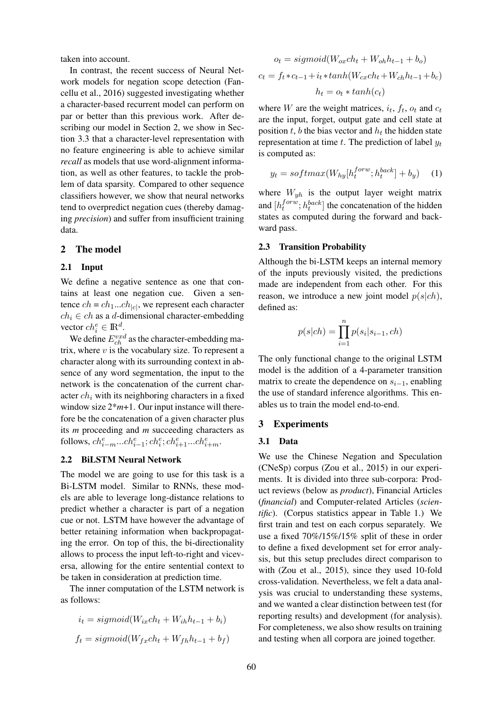taken into account.

In contrast, the recent success of Neural Network models for negation scope detection (Fancellu et al., 2016) suggested investigating whether a character-based recurrent model can perform on par or better than this previous work. After describing our model in Section 2, we show in Section 3.3 that a character-level representation with no feature engineering is able to achieve similar *recall* as models that use word-alignment information, as well as other features, to tackle the problem of data sparsity. Compared to other sequence classifiers however, we show that neural networks tend to overpredict negation cues (thereby damaging *precision*) and suffer from insufficient training data.

#### 2 The model

#### 2.1 Input

We define a negative sentence as one that contains at least one negation cue. Given a sentence  $ch = ch_1...ch_{|c|}$ , we represent each character  $ch_i \in ch$  as a d-dimensional character-embedding vector  $ch_i^e \in \mathbb{R}^d$ .

We define  $E_{ch}^{vxd}$  as the character-embedding matrix, where  $v$  is the vocabulary size. To represent a character along with its surrounding context in absence of any word segmentation, the input to the network is the concatenation of the current character  $ch_i$  with its neighboring characters in a fixed window size  $2*m+1$ . Our input instance will therefore be the concatenation of a given character plus its *m* proceeding and *m* succeeding characters as follows,  $ch_{i-m}^e...ch_{i-1}^e; ch_i^e; ch_{i+1}^e...ch_{i+m}^e$ .

#### 2.2 BiLSTM Neural Network

The model we are going to use for this task is a Bi-LSTM model. Similar to RNNs, these models are able to leverage long-distance relations to predict whether a character is part of a negation cue or not. LSTM have however the advantage of better retaining information when backpropagating the error. On top of this, the bi-directionality allows to process the input left-to-right and viceversa, allowing for the entire sentential context to be taken in consideration at prediction time.

The inner computation of the LSTM network is as follows:

$$
i_t = sigmoid(W_{ix}ch_t + W_{ih}h_{t-1} + b_i)
$$
  

$$
f_t = sigmoid(W_{fx}ch_t + W_{fh}h_{t-1} + b_f)
$$

$$
o_t = sigmoid(W_{ox}ch_t + W_{oh}h_{t-1} + b_o)
$$

$$
c_t = f_t * c_{t-1} + i_t * tanh(W_{cx}ch_t + W_{ch}h_{t-1} + b_c)
$$

$$
h_t = o_t * tanh(c_t)
$$

where *W* are the weight matrices,  $i_t$ ,  $f_t$ ,  $o_t$  and  $c_t$ are the input, forget, output gate and cell state at position  $t$ ,  $b$  the bias vector and  $h_t$  the hidden state representation at time  $t$ . The prediction of label  $y_t$ is computed as:

$$
y_t = softmax(W_{hy}[h_t^{forw}; h_t^{back}] + b_y) \quad (1)
$$

where  $W_{yh}$  is the output layer weight matrix and  $[h_t^{forw}]$  $t^{forw}$ ;  $h_t^{back}$ ] the concatenation of the hidden states as computed during the forward and backward pass.

#### 2.3 Transition Probability

Although the bi-LSTM keeps an internal memory of the inputs previously visited, the predictions made are independent from each other. For this reason, we introduce a new joint model  $p(s|ch)$ , defined as:

$$
p(s|ch) = \prod_{i=1}^{n} p(s_i|s_{i-1}, ch)
$$

The only functional change to the original LSTM model is the addition of a 4-parameter transition matrix to create the dependence on  $s_{i-1}$ , enabling the use of standard inference algorithms. This enables us to train the model end-to-end.

#### 3 Experiments

#### 3.1 Data

We use the Chinese Negation and Speculation (CNeSp) corpus (Zou et al., 2015) in our experiments. It is divided into three sub-corpora: Product reviews (below as *product*), Financial Articles (*financial*) and Computer-related Articles (*scientific*). (Corpus statistics appear in Table 1.) We first train and test on each corpus separately. We use a fixed 70%/15%/15% split of these in order to define a fixed development set for error analysis, but this setup precludes direct comparison to with (Zou et al., 2015), since they used 10-fold cross-validation. Nevertheless, we felt a data analysis was crucial to understanding these systems, and we wanted a clear distinction between test (for reporting results) and development (for analysis). For completeness, we also show results on training and testing when all corpora are joined together.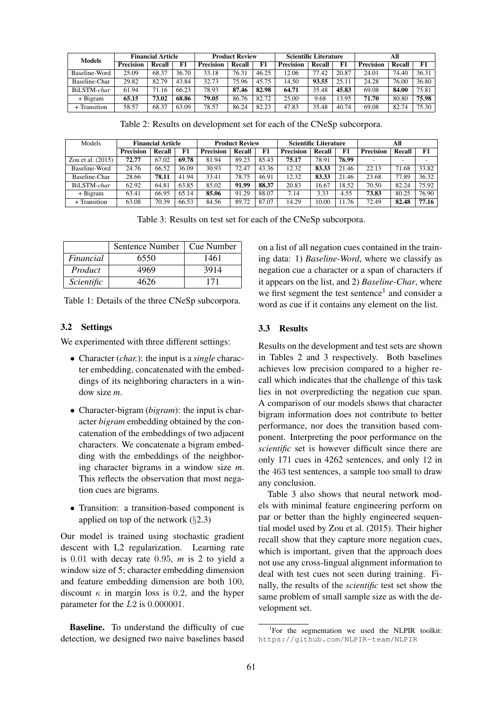| <b>Models</b> | <b>Financial Article</b> |               |       | <b>Product Review</b> |        |       | <b>Scientific Literature</b> |        |       | All       |        |       |
|---------------|--------------------------|---------------|-------|-----------------------|--------|-------|------------------------------|--------|-------|-----------|--------|-------|
|               | <b>Precision</b>         | <b>Recall</b> | F1    | <b>Precision</b>      | Recall | F1    | <b>Precision</b>             | Recall | F1    | Precision | Recall | F1    |
| Baseline-Word | 25.09                    | 68.37         | 36.70 | 33.18                 | 76.31  | 46.25 | 12.06                        | 77.42  | 20.87 | 24.01     | 74.40  | 36.31 |
| Baseline-Char | 29.82                    | 82.79         | 43.84 | 32.73                 | 75.96  | 45.75 | 14.50                        | 93.55  | 25.11 | 24.28     | 76.00  | 36.80 |
| BiLSTM-char   | 61.94                    | 71.16         | 66.23 | 78.93                 | 87.46  | 82.98 | 64.71                        | 35.48  | 45.83 | 69.08     | 84.00  | 75.81 |
| + Bigram      | 65.15                    | 73.02         | 68.86 | 79.05                 | 86.76  | 82.72 | 25.00                        | 9.68   | 13.95 | 71.70     | 80.80  | 75.98 |
| + Transition  | 58.57                    | 68.37         | 63.09 | 78.57                 | 86.24  | 82.23 | 47.83                        | 35.48  | 40.74 | 69.08     | 82.74  | 75.30 |

Table 2: Results on development set for each of the CNeSp subcorpora.

| Models              | <b>Financial Article</b> |        | <b>Product Review</b> |                  |        | <b>Scientific Literature</b> |                  |        | All   |                  |        |       |
|---------------------|--------------------------|--------|-----------------------|------------------|--------|------------------------------|------------------|--------|-------|------------------|--------|-------|
|                     | <b>Precision</b>         | Recall | F1                    | <b>Precision</b> | Recall | F1                           | <b>Precision</b> | Recall | F1    | <b>Precision</b> | Recall | F1    |
| Zou et al. $(2015)$ | 72.77                    | 67.02  | 69.78                 | 81.94            | 89.23  | 85.43                        | 75.17            | 78.91  | 76.99 |                  |        | -     |
| Baseline-Word       | 24.76                    | 66.52  | 36.09                 | 30.93            | 72.47  | 43.36                        | 12.32            | 83.33  | 21.46 | 22.13            | 71.68  | 33.82 |
| Baseline-Char       | 28.66                    | 78.11  | 41.94                 | 33.41            | 78.75  | 46.91                        | 12.32            | 83.33  | 21.46 | 23.68            | 77.89  | 36.32 |
| BiLSTM-char         | 62.92                    | 64.81  | 63.85                 | 85.02            | 91.99  | 88.37                        | 20.83            | 16.67  | 18.52 | 70.50            | 82.24  | 75.92 |
| + Bigram            | 63.41                    | 66.95  | 65.14                 | 85.06            | 91.29  | 88.07                        | 7.14             | 3.33   | 4.55  | 73.83            | 80.25  | 76.90 |
| + Transition        | 63.08                    | 70.39  | 66.53                 | 84.56            | 89.72  | 87.07                        | 14.29            | 10.00  | 11.76 | 72.49            | 82.48  | 77.16 |

Table 3: Results on test set for each of the CNeSp subcorpora.

|            | Sentence Number   Cue Number |      |
|------------|------------------------------|------|
| Financial  | 6550                         | 1461 |
| Product    | 4969                         | 3914 |
| Scientific | 4626                         | 171  |

Table 1: Details of the three CNeSp subcorpora.

## 3.2 Settings

We experimented with three different settings:

- Character (*char.*): the input is a *single* character embedding, concatenated with the embeddings of its neighboring characters in a window size *m*.
- Character-bigram (*bigram*): the input is character *bigram* embedding obtained by the concatenation of the embeddings of two adjacent characters. We concatenate a bigram embedding with the embeddings of the neighboring character bigrams in a window size *m*. This reflects the observation that most negation cues are bigrams.
- Transition: a transition-based component is applied on top of the network  $(\S 2.3)$

Our model is trained using stochastic gradient descent with L2 regularization. Learning rate is 0.01 with decay rate 0.95, *m* is 2 to yield a window size of 5; character embedding dimension and feature embedding dimension are both 100, discount  $\kappa$  in margin loss is 0.2, and the hyper parameter for the L2 is 0.000001.

Baseline. To understand the difficulty of cue detection, we designed two naive baselines based on a list of all negation cues contained in the training data: 1) *Baseline-Word*, where we classify as negation cue a character or a span of characters if it appears on the list, and 2) *Baseline-Char*, where we first segment the test sentence<sup>1</sup> and consider a word as cue if it contains any element on the list.

## 3.3 Results

Results on the development and test sets are shown in Tables 2 and 3 respectively. Both baselines achieves low precision compared to a higher recall which indicates that the challenge of this task lies in not overpredicting the negation cue span. A comparison of our models shows that character bigram information does not contribute to better performance, nor does the transition based component. Interpreting the poor performance on the *scientific* set is however difficult since there are only 171 cues in 4262 sentences, and only 12 in the 463 test sentences, a sample too small to draw any conclusion.

Table 3 also shows that neural network models with minimal feature engineering perform on par or better than the highly engineered sequential model used by Zou et al. (2015). Their higher recall show that they capture more negation cues, which is important, given that the approach does not use any cross-lingual alignment information to deal with test cues not seen during training. Finally, the results of the *scientific* test set show the same problem of small sample size as with the development set.

<sup>&</sup>lt;sup>1</sup>For the segmentation we used the NLPIR toolkit: https://github.com/NLPIR-team/NLPIR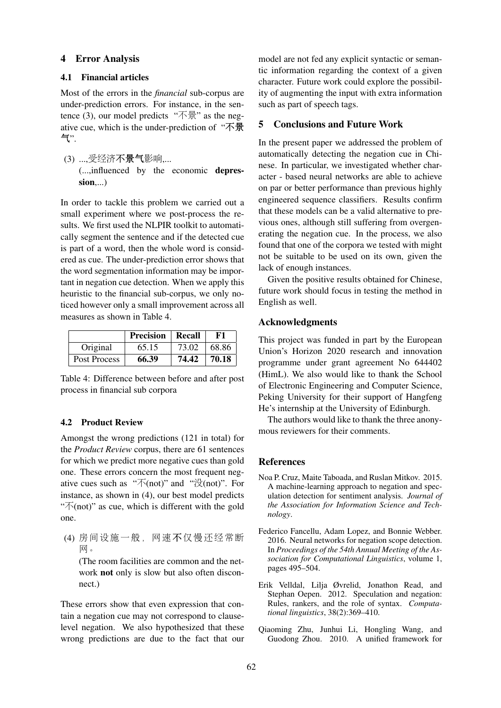# 4 Error Analysis

# 4.1 Financial articles

Most of the errors in the *financial* sub-corpus are under-prediction errors. For instance, in the sentence (3), our model predicts " $\overline{\text{A}}\overline{\text{B}}$ " as the negative cue, which is the under-prediction of "不景 气".

# (3) ...,受经济不景气影响,... (...,influenced by the economic depres $sion...$ )

In order to tackle this problem we carried out a small experiment where we post-process the results. We first used the NLPIR toolkit to automatically segment the sentence and if the detected cue is part of a word, then the whole word is considered as cue. The under-prediction error shows that the word segmentation information may be important in negation cue detection. When we apply this heuristic to the financial sub-corpus, we only noticed however only a small improvement across all measures as shown in Table 4.

|              | <b>Precision</b> | Recall | F1    |
|--------------|------------------|--------|-------|
| Original     | 65.15            | 73.02  | 68.86 |
| Post Process | 66.39            | 74.42  | 70.18 |

Table 4: Difference between before and after post process in financial sub corpora

# 4.2 Product Review

Amongst the wrong predictions (121 in total) for the *Product Review* corpus, there are 61 sentences for which we predict more negative cues than gold one. These errors concern the most frequent negative cues such as " $\overline{\wedge}$ (not)" and " $\overline{\varphi}$ (not)". For instance, as shown in (4), our best model predicts " $\overline{\wedge}$ (not)" as cue, which is different with the gold one.

(4) 房间设施一般,网速不仅慢还经常<sup>断</sup> 网。

(The room facilities are common and the network not only is slow but also often disconnect.)

These errors show that even expression that contain a negation cue may not correspond to clauselevel negation. We also hypothesized that these wrong predictions are due to the fact that our

model are not fed any explicit syntactic or semantic information regarding the context of a given character. Future work could explore the possibility of augmenting the input with extra information such as part of speech tags.

# 5 Conclusions and Future Work

In the present paper we addressed the problem of automatically detecting the negation cue in Chinese. In particular, we investigated whether character - based neural networks are able to achieve on par or better performance than previous highly engineered sequence classifiers. Results confirm that these models can be a valid alternative to previous ones, although still suffering from overgenerating the negation cue. In the process, we also found that one of the corpora we tested with might not be suitable to be used on its own, given the lack of enough instances.

Given the positive results obtained for Chinese, future work should focus in testing the method in English as well.

# Acknowledgments

This project was funded in part by the European Union's Horizon 2020 research and innovation programme under grant agreement No 644402 (HimL). We also would like to thank the School of Electronic Engineering and Computer Science, Peking University for their support of Hangfeng He's internship at the University of Edinburgh.

The authors would like to thank the three anonymous reviewers for their comments.

# References

- Noa P. Cruz, Maite Taboada, and Ruslan Mitkov. 2015. A machine-learning approach to negation and speculation detection for sentiment analysis. *Journal of the Association for Information Science and Technology*.
- Federico Fancellu, Adam Lopez, and Bonnie Webber. 2016. Neural networks for negation scope detection. In *Proceedings of the 54th Annual Meeting of the Association for Computational Linguistics*, volume 1, pages 495–504.
- Erik Velldal, Lilja Øvrelid, Jonathon Read, and Stephan Oepen. 2012. Speculation and negation: Rules, rankers, and the role of syntax. *Computational linguistics*, 38(2):369–410.
- Qiaoming Zhu, Junhui Li, Hongling Wang, and Guodong Zhou. 2010. A unified framework for